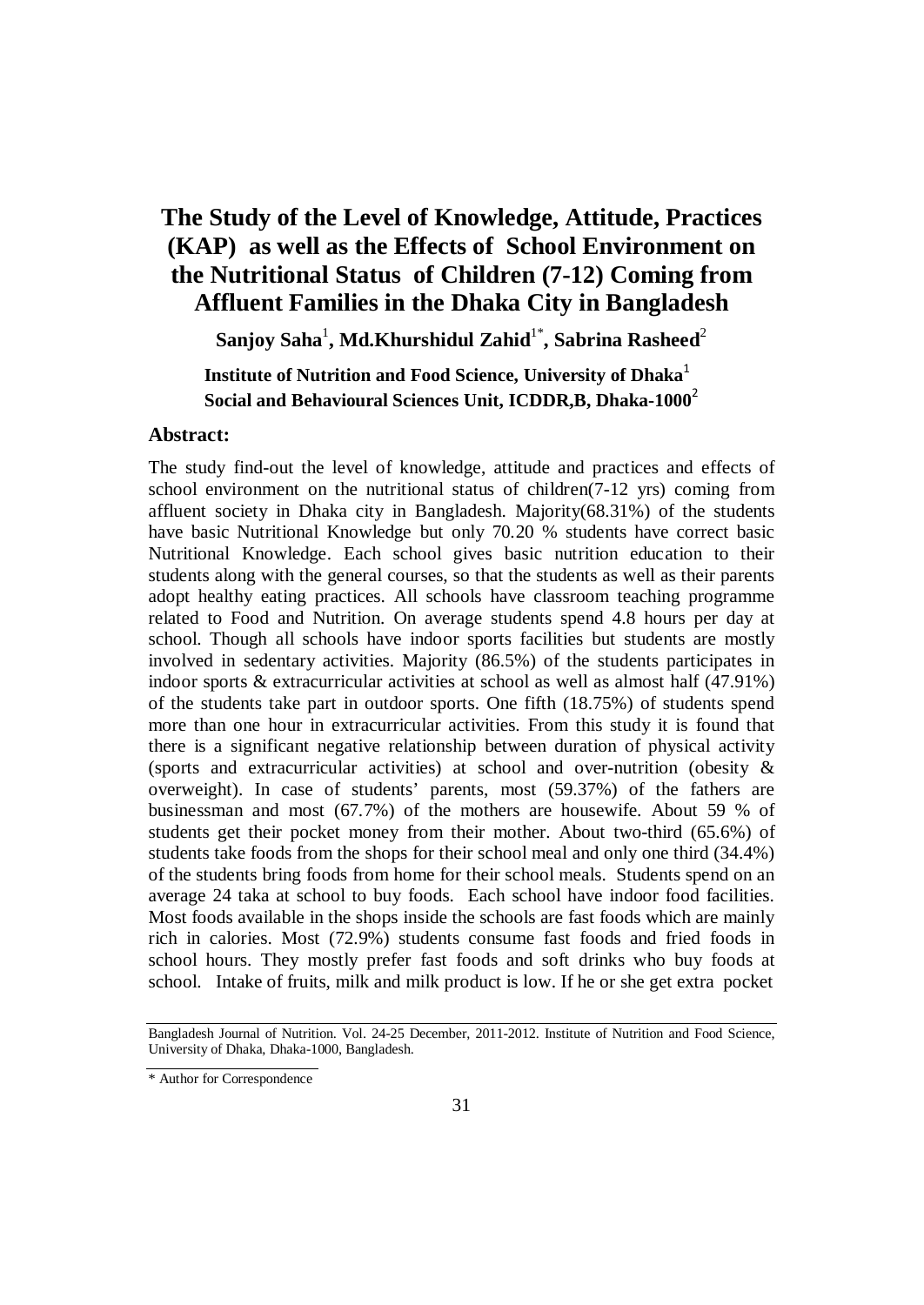# **The Study of the Level of Knowledge, Attitude, Practices (KAP) as well as the Effects of School Environment on the Nutritional Status of Children (7-12) Coming from Affluent Families in the Dhaka City in Bangladesh**

 $\mathbf{S}$ anjoy  $\mathbf{Saha}^1,\mathbf{Md}.\mathbf{Khurshidul Zahid}^{1*},\mathbf{Sabrina Rasheed}^{2*}$ 

**Institute of Nutrition and Food Science, University of Dhaka**<sup>1</sup> **Social and Behavioural Sciences Unit, ICDDR,B, Dhaka-1000**<sup>2</sup>

#### **Abstract:**

The study find-out the level of knowledge, attitude and practices and effects of school environment on the nutritional status of children(7-12 yrs) coming from affluent society in Dhaka city in Bangladesh. Majority(68.31%) of the students have basic Nutritional Knowledge but only 70.20 % students have correct basic Nutritional Knowledge. Each school gives basic nutrition education to their students along with the general courses, so that the students as well as their parents adopt healthy eating practices. All schools have classroom teaching programme related to Food and Nutrition. On average students spend 4.8 hours per day at school. Though all schools have indoor sports facilities but students are mostly involved in sedentary activities. Majority (86.5%) of the students participates in indoor sports & extracurricular activities at school as well as almost half (47.91%) of the students take part in outdoor sports. One fifth (18.75%) of students spend more than one hour in extracurricular activities. From this study it is found that there is a significant negative relationship between duration of physical activity (sports and extracurricular activities) at school and over-nutrition (obesity & overweight). In case of students' parents, most (59.37%) of the fathers are businessman and most (67.7%) of the mothers are housewife. About 59 % of students get their pocket money from their mother. About two-third (65.6%) of students take foods from the shops for their school meal and only one third (34.4%) of the students bring foods from home for their school meals. Students spend on an average 24 taka at school to buy foods. Each school have indoor food facilities. Most foods available in the shops inside the schools are fast foods which are mainly rich in calories. Most (72.9%) students consume fast foods and fried foods in school hours. They mostly prefer fast foods and soft drinks who buy foods at school. Intake of fruits, milk and milk product is low. If he or she get extra pocket

Bangladesh Journal of Nutrition. Vol. 24-25 December, 2011-2012. Institute of Nutrition and Food Science, University of Dhaka, Dhaka-1000, Bangladesh.

<sup>\*</sup> Author for Correspondence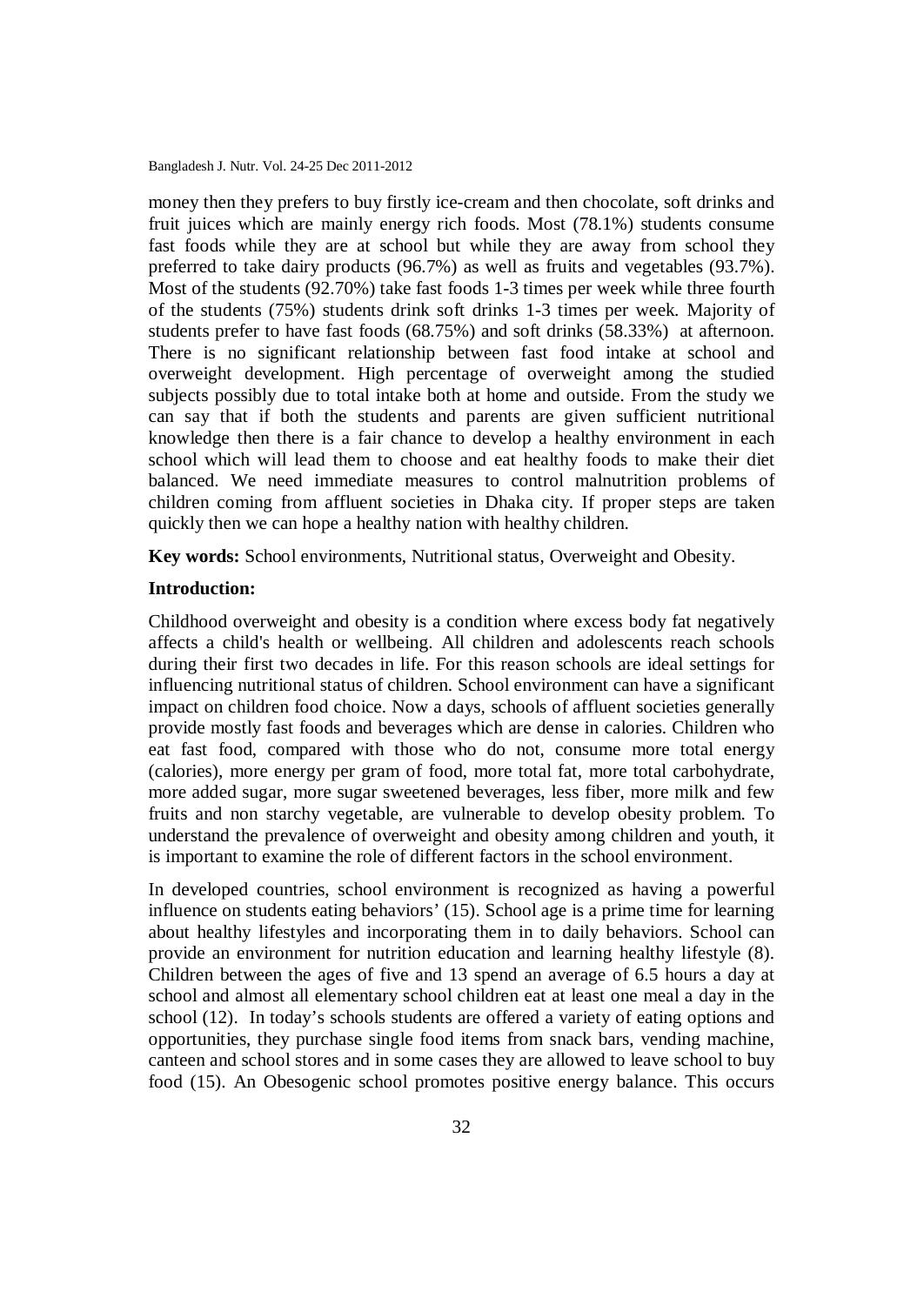money then they prefers to buy firstly ice-cream and then chocolate, soft drinks and fruit juices which are mainly energy rich foods. Most (78.1%) students consume fast foods while they are at school but while they are away from school they preferred to take dairy products (96.7%) as well as fruits and vegetables (93.7%). Most of the students (92.70%) take fast foods 1-3 times per week while three fourth of the students (75%) students drink soft drinks 1-3 times per week. Majority of students prefer to have fast foods (68.75%) and soft drinks (58.33%) at afternoon. There is no significant relationship between fast food intake at school and overweight development. High percentage of overweight among the studied subjects possibly due to total intake both at home and outside. From the study we can say that if both the students and parents are given sufficient nutritional knowledge then there is a fair chance to develop a healthy environment in each school which will lead them to choose and eat healthy foods to make their diet balanced. We need immediate measures to control malnutrition problems of children coming from affluent societies in Dhaka city. If proper steps are taken quickly then we can hope a healthy nation with healthy children.

**Key words:** School environments, Nutritional status, Overweight and Obesity.

#### **Introduction:**

Childhood overweight and obesity is a condition where excess body fat negatively affects a child's health or wellbeing. All children and adolescents reach schools during their first two decades in life. For this reason schools are ideal settings for influencing nutritional status of children. School environment can have a significant impact on children food choice. Now a days, schools of affluent societies generally provide mostly fast foods and beverages which are dense in calories. Children who eat fast food, compared with those who do not, consume more total energy (calories), more energy per gram of food, more total fat, more total carbohydrate, more added sugar, more sugar sweetened beverages, less fiber, more milk and few fruits and non starchy vegetable, are vulnerable to develop obesity problem. To understand the prevalence of overweight and obesity among children and youth, it is important to examine the role of different factors in the school environment.

In developed countries, school environment is recognized as having a powerful influence on students eating behaviors' (15). School age is a prime time for learning about healthy lifestyles and incorporating them in to daily behaviors. School can provide an environment for nutrition education and learning healthy lifestyle (8). Children between the ages of five and 13 spend an average of 6.5 hours a day at school and almost all elementary school children eat at least one meal a day in the school (12). In today's schools students are offered a variety of eating options and opportunities, they purchase single food items from snack bars, vending machine, canteen and school stores and in some cases they are allowed to leave school to buy food (15). An Obesogenic school promotes positive energy balance. This occurs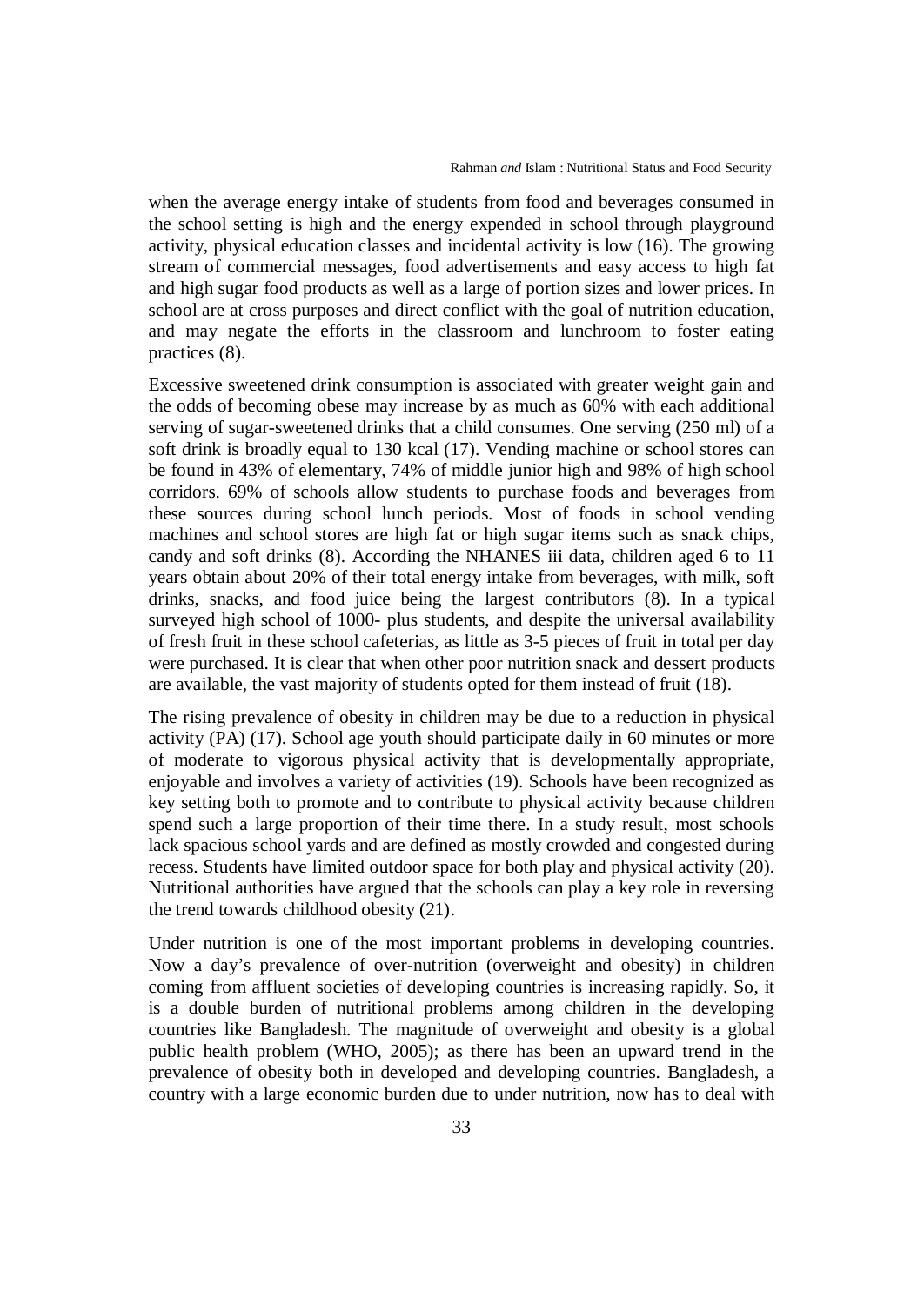when the average energy intake of students from food and beverages consumed in the school setting is high and the energy expended in school through playground activity, physical education classes and incidental activity is low (16). The growing stream of commercial messages, food advertisements and easy access to high fat and high sugar food products as well as a large of portion sizes and lower prices. In school are at cross purposes and direct conflict with the goal of nutrition education, and may negate the efforts in the classroom and lunchroom to foster eating practices (8).

Excessive sweetened drink consumption is associated with greater weight gain and the odds of becoming obese may increase by as much as 60% with each additional serving of sugar-sweetened drinks that a child consumes. One serving (250 ml) of a soft drink is broadly equal to 130 kcal (17). Vending machine or school stores can be found in 43% of elementary, 74% of middle junior high and 98% of high school corridors. 69% of schools allow students to purchase foods and beverages from these sources during school lunch periods. Most of foods in school vending machines and school stores are high fat or high sugar items such as snack chips, candy and soft drinks (8). According the NHANES iii data, children aged 6 to 11 years obtain about 20% of their total energy intake from beverages, with milk, soft drinks, snacks, and food juice being the largest contributors (8). In a typical surveyed high school of 1000- plus students, and despite the universal availability of fresh fruit in these school cafeterias, as little as 3-5 pieces of fruit in total per day were purchased. It is clear that when other poor nutrition snack and dessert products are available, the vast majority of students opted for them instead of fruit (18).

The rising prevalence of obesity in children may be due to a reduction in physical activity (PA) (17). School age youth should participate daily in 60 minutes or more of moderate to vigorous physical activity that is developmentally appropriate, enjoyable and involves a variety of activities (19). Schools have been recognized as key setting both to promote and to contribute to physical activity because children spend such a large proportion of their time there. In a study result, most schools lack spacious school yards and are defined as mostly crowded and congested during recess. Students have limited outdoor space for both play and physical activity (20). Nutritional authorities have argued that the schools can play a key role in reversing the trend towards childhood obesity (21).

Under nutrition is one of the most important problems in developing countries. Now a day's prevalence of over-nutrition (overweight and obesity) in children coming from affluent societies of developing countries is increasing rapidly. So, it is a double burden of nutritional problems among children in the developing countries like Bangladesh. The magnitude of overweight and obesity is a global public health problem (WHO, 2005); as there has been an upward trend in the prevalence of obesity both in developed and developing countries. Bangladesh, a country with a large economic burden due to under nutrition, now has to deal with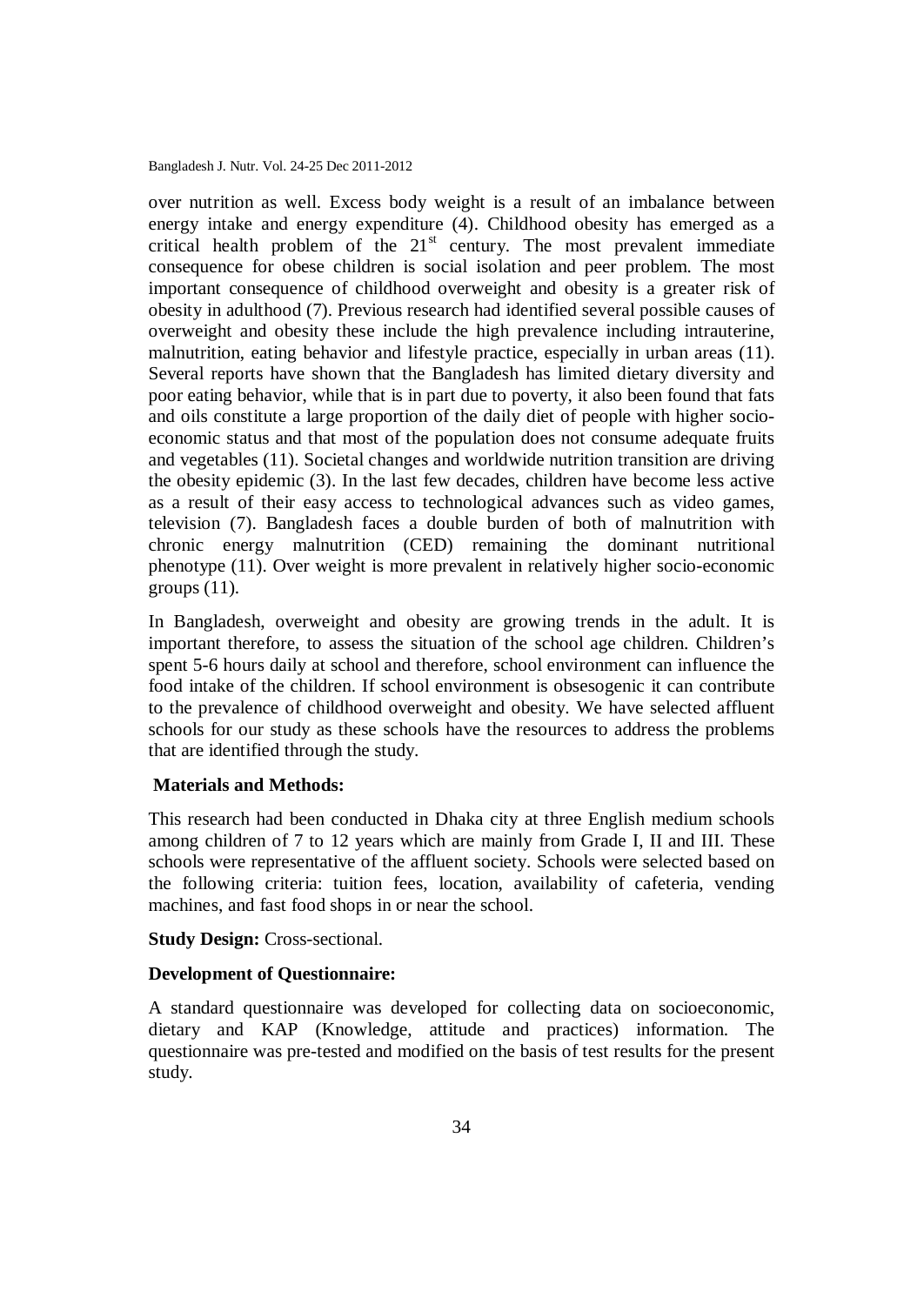over nutrition as well. Excess body weight is a result of an imbalance between energy intake and energy expenditure (4). Childhood obesity has emerged as a critical health problem of the  $21<sup>st</sup>$  century. The most prevalent immediate consequence for obese children is social isolation and peer problem. The most important consequence of childhood overweight and obesity is a greater risk of obesity in adulthood (7). Previous research had identified several possible causes of overweight and obesity these include the high prevalence including intrauterine, malnutrition, eating behavior and lifestyle practice, especially in urban areas (11). Several reports have shown that the Bangladesh has limited dietary diversity and poor eating behavior, while that is in part due to poverty, it also been found that fats and oils constitute a large proportion of the daily diet of people with higher socioeconomic status and that most of the population does not consume adequate fruits and vegetables (11). Societal changes and worldwide nutrition transition are driving the obesity epidemic (3). In the last few decades, children have become less active as a result of their easy access to technological advances such as video games, television (7). Bangladesh faces a double burden of both of malnutrition with chronic energy malnutrition (CED) remaining the dominant nutritional phenotype (11). Over weight is more prevalent in relatively higher socio-economic groups  $(11)$ .

In Bangladesh, overweight and obesity are growing trends in the adult. It is important therefore, to assess the situation of the school age children. Children's spent 5-6 hours daily at school and therefore, school environment can influence the food intake of the children. If school environment is obsesogenic it can contribute to the prevalence of childhood overweight and obesity. We have selected affluent schools for our study as these schools have the resources to address the problems that are identified through the study.

#### **Materials and Methods:**

This research had been conducted in Dhaka city at three English medium schools among children of 7 to 12 years which are mainly from Grade I, II and III. These schools were representative of the affluent society. Schools were selected based on the following criteria: tuition fees, location, availability of cafeteria, vending machines, and fast food shops in or near the school.

#### **Study Design:** Cross-sectional.

#### **Development of Questionnaire:**

A standard questionnaire was developed for collecting data on socioeconomic, dietary and KAP (Knowledge, attitude and practices) information. The questionnaire was pre-tested and modified on the basis of test results for the present study.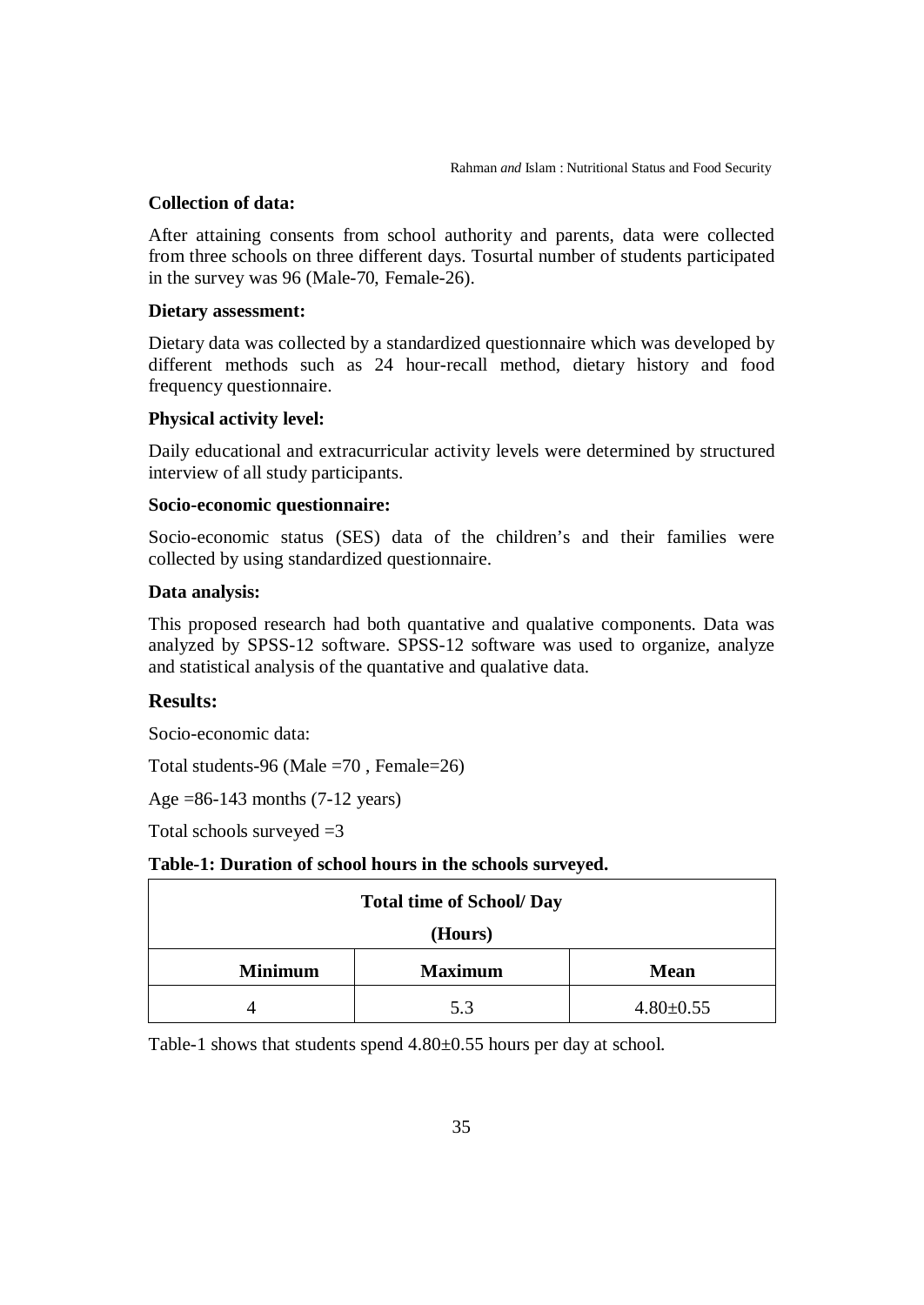#### **Collection of data:**

After attaining consents from school authority and parents, data were collected from three schools on three different days. Tosurtal number of students participated in the survey was 96 (Male-70, Female-26).

#### **Dietary assessment:**

Dietary data was collected by a standardized questionnaire which was developed by different methods such as 24 hour-recall method, dietary history and food frequency questionnaire.

#### **Physical activity level:**

Daily educational and extracurricular activity levels were determined by structured interview of all study participants.

#### **Socio-economic questionnaire:**

Socio-economic status (SES) data of the children's and their families were collected by using standardized questionnaire.

#### **Data analysis:**

This proposed research had both quantative and qualative components. Data was analyzed by SPSS-12 software. SPSS-12 software was used to organize, analyze and statistical analysis of the quantative and qualative data.

#### **Results:**

Socio-economic data:

Total students-96 (Male =70 , Female=26)

Age =86-143 months (7-12 years)

Total schools surveyed  $=3$ 

#### **Table-1: Duration of school hours in the schools surveyed.**

| <b>Total time of School/ Day</b> |                |                 |
|----------------------------------|----------------|-----------------|
| (Hours)                          |                |                 |
| <b>Minimum</b>                   | <b>Maximum</b> | <b>Mean</b>     |
|                                  | 5.3            | $4.80 \pm 0.55$ |

Table-1 shows that students spend 4.80±0.55 hours per day at school.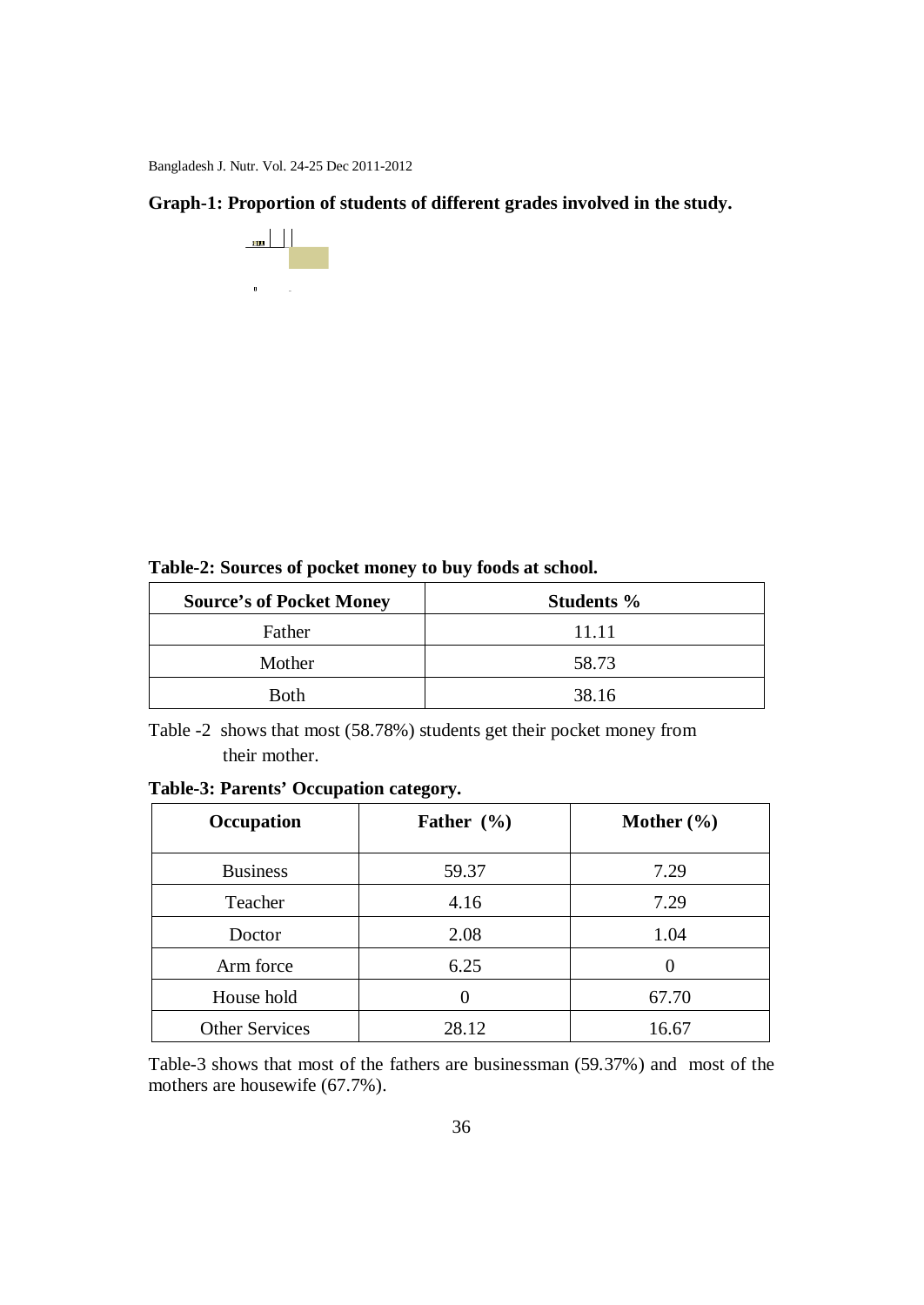**Graph-1: Proportion of students of different grades involved in the study.**



**Table-2: Sources of pocket money to buy foods at school.**

| <b>Source's of Pocket Money</b> | <b>Students</b> % |
|---------------------------------|-------------------|
| Father                          | 11.11             |
| Mother                          | 58.73             |
| <b>Both</b>                     | 38.16             |

Table -2 shows that most (58.78%) students get their pocket money from their mother.

| Occupation            | Father $(\% )$ | Mother $(\% )$ |
|-----------------------|----------------|----------------|
| <b>Business</b>       | 59.37          | 7.29           |
| Teacher               | 4.16           | 7.29           |
| Doctor                | 2.08           | 1.04           |
| Arm force             | 6.25           |                |
| House hold            | 0              | 67.70          |
| <b>Other Services</b> | 28.12          | 16.67          |

Table-3 shows that most of the fathers are businessman (59.37%) and most of the mothers are housewife (67.7%).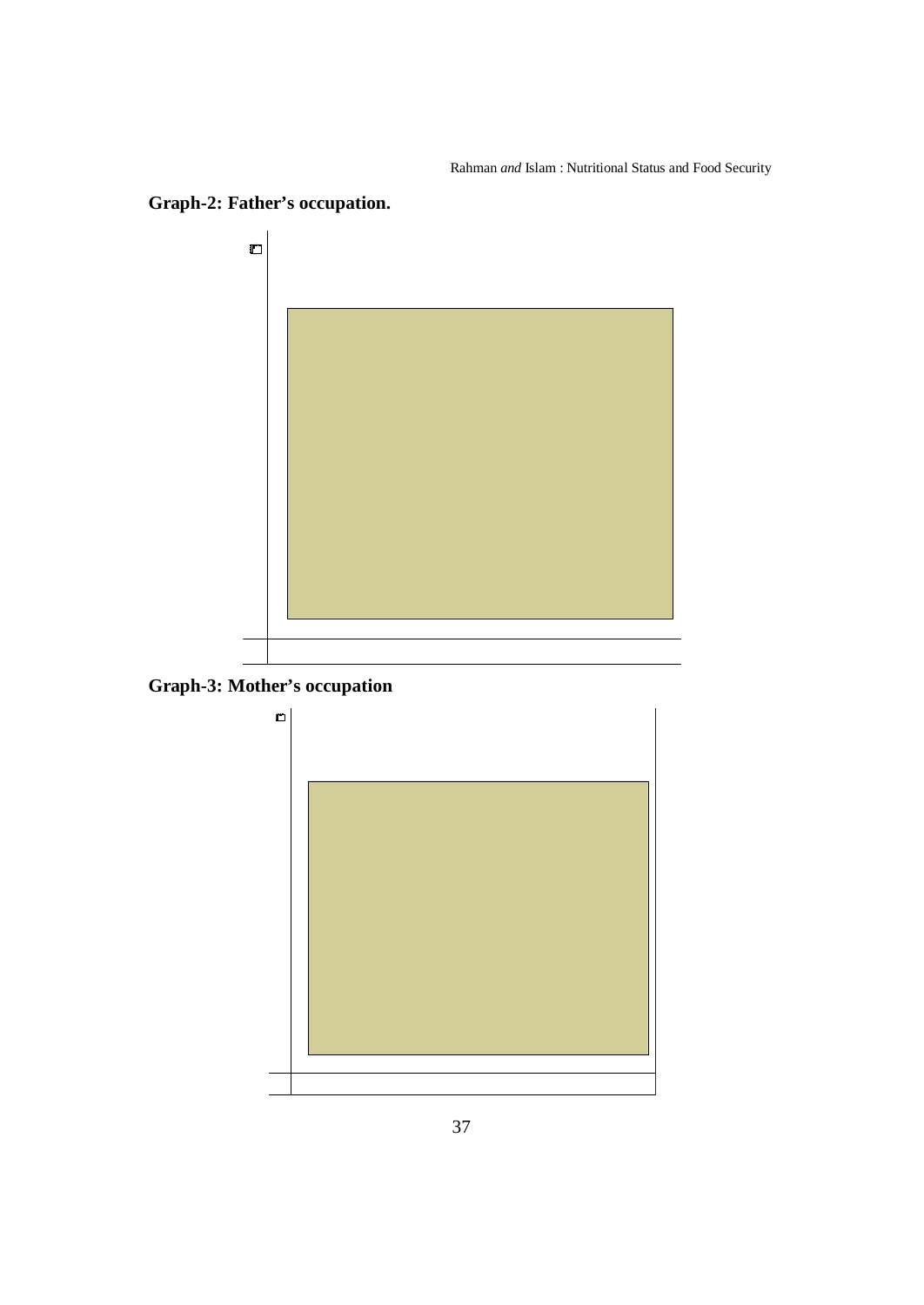business service teacher doctor arm force **Father's occupation** <sup>0</sup> <sup>10</sup> <sup>20</sup> <sup>30</sup> 4050 <sup>60</sup> **Frequency Father's occupation**

# **Graph-2: Father's occupation.**



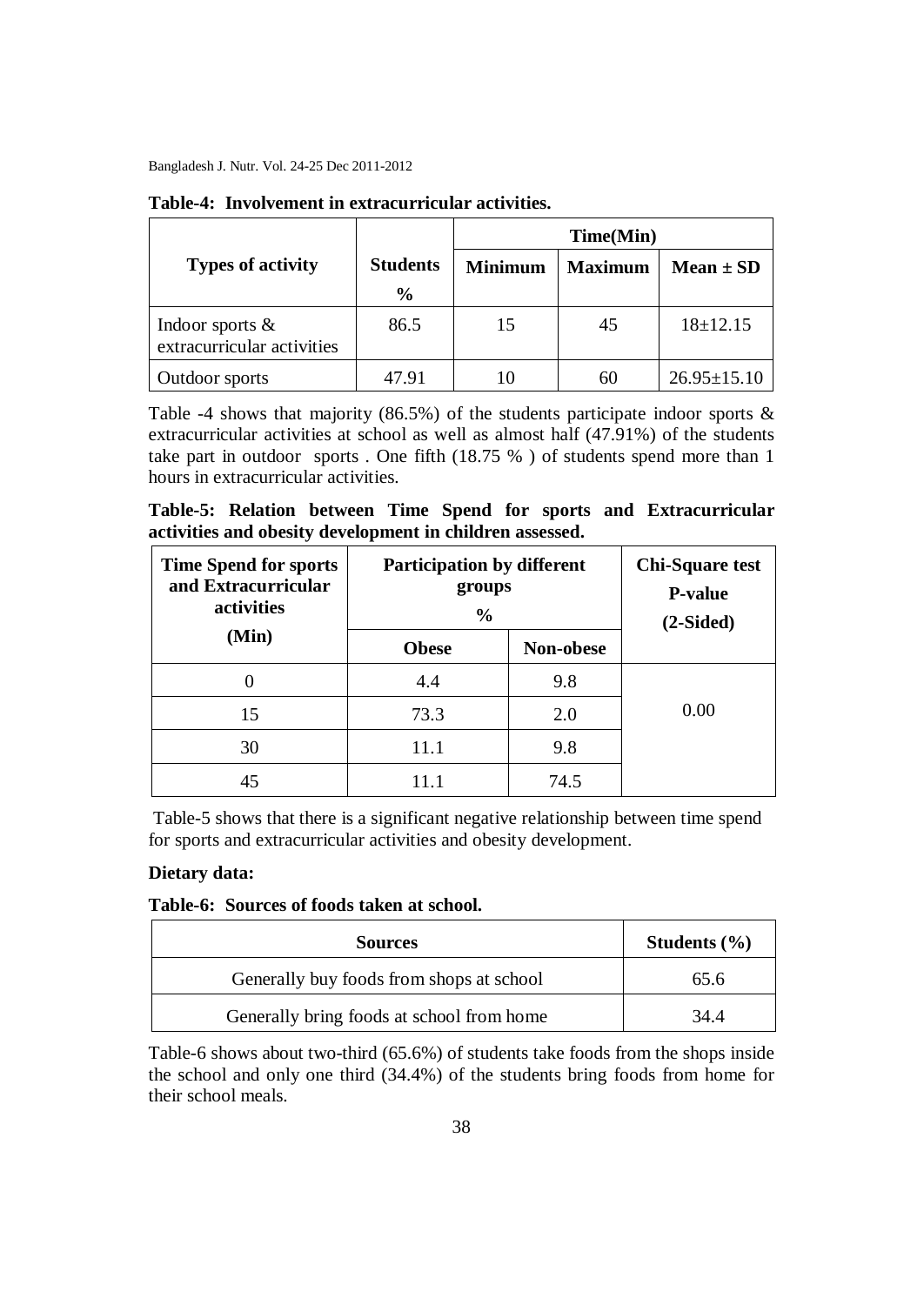|                                                  |                 | Time(Min)      |                |                   |
|--------------------------------------------------|-----------------|----------------|----------------|-------------------|
| <b>Types of activity</b>                         | <b>Students</b> | <b>Minimum</b> | <b>Maximum</b> | $Mean \pm SD$     |
|                                                  | $\frac{6}{9}$   |                |                |                   |
| Indoor sports $\&$<br>extracurricular activities | 86.5            | 15             | 45             | $18 \pm 12.15$    |
| Outdoor sports                                   | 47.91           | 10             | 60             | $26.95 \pm 15.10$ |

#### **Table-4: Involvement in extracurricular activities.**

Table -4 shows that majority (86.5%) of the students participate indoor sports  $\&$ extracurricular activities at school as well as almost half (47.91%) of the students take part in outdoor sports . One fifth (18.75 % ) of students spend more than 1 hours in extracurricular activities.

**Table-5: Relation between Time Spend for sports and Extracurricular activities and obesity development in children assessed.**

| <b>Time Spend for sports</b><br>and Extracurricular<br>activities | <b>Participation by different</b><br>groups<br>$\frac{0}{0}$ |           | <b>Chi-Square test</b><br><b>P-value</b><br>$(2-Sided)$ |
|-------------------------------------------------------------------|--------------------------------------------------------------|-----------|---------------------------------------------------------|
| (Min)                                                             | <b>Obese</b>                                                 | Non-obese |                                                         |
|                                                                   | 4.4                                                          | 9.8       |                                                         |
| 15                                                                | 73.3                                                         | 2.0       | 0.00                                                    |
| 30                                                                | 11.1                                                         | 9.8       |                                                         |
| 45                                                                | 11 1                                                         | 74.5      |                                                         |

Table-5 shows that there is a significant negative relationship between time spend for sports and extracurricular activities and obesity development.

#### **Dietary data:**

#### **Table-6: Sources of foods taken at school.**

| <b>Sources</b>                            | Students $(\% )$ |
|-------------------------------------------|------------------|
| Generally buy foods from shops at school  | 65.6             |
| Generally bring foods at school from home | 34.4             |

Table-6 shows about two-third (65.6%) of students take foods from the shops inside the school and only one third (34.4%) of the students bring foods from home for their school meals.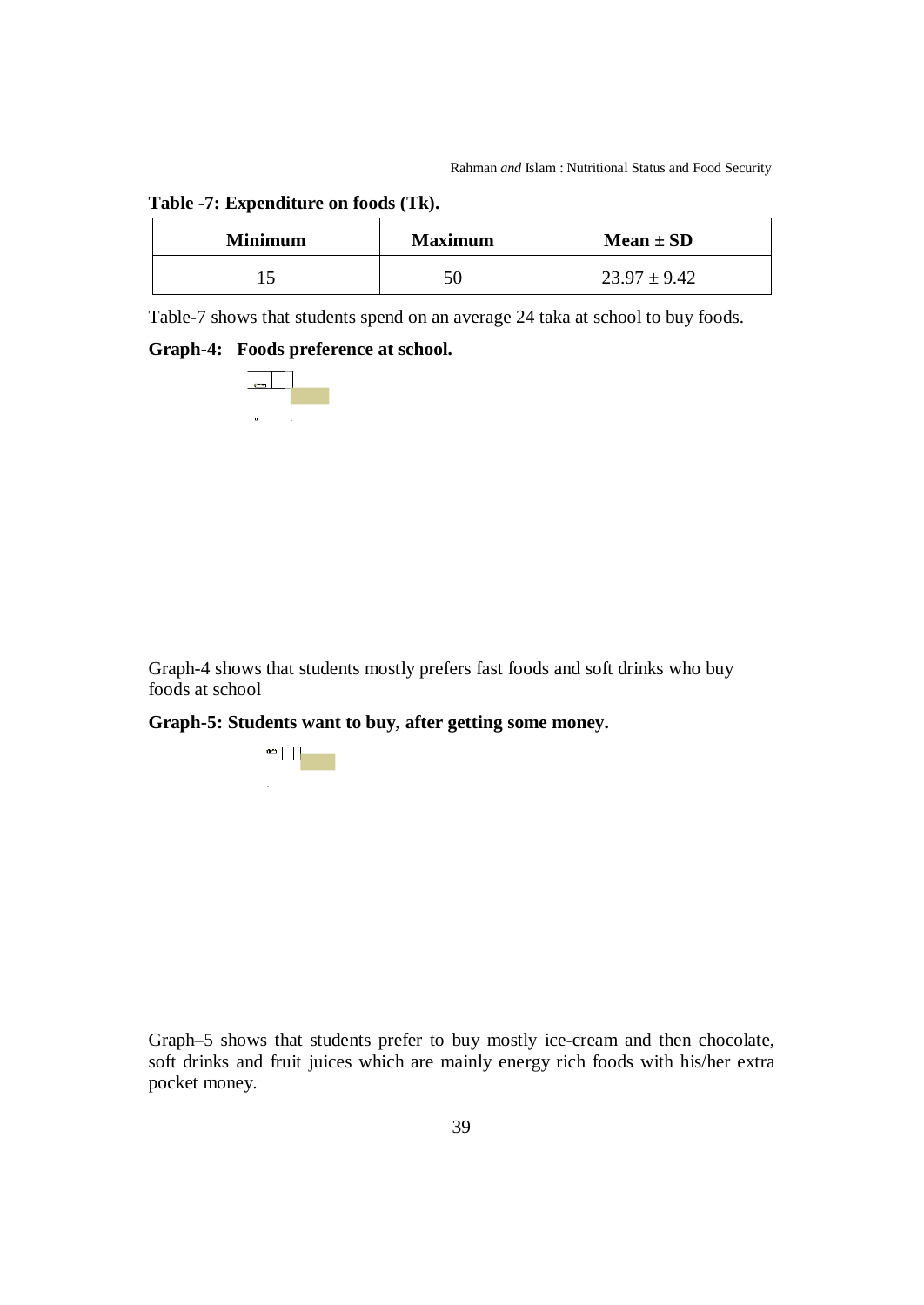|  | Table -7: Expenditure on foods (Tk). |  |  |
|--|--------------------------------------|--|--|
|--|--------------------------------------|--|--|

| <b>Minimum</b> | <b>Maximum</b> | Mean $\pm$ SD    |
|----------------|----------------|------------------|
|                |                | $23.97 \pm 9.42$ |

Table-7 shows that students spend on an average 24 taka at school to buy foods.

#### **Graph-4: Foods preference at school.**



Graph-4 shows that students mostly prefers fast foods and soft drinks who buy foods at school

## **Graph-5: Students want to buy, after getting some money.**

Fruit juices Ice-cream Fast foodsSoft drinks Chocolate Others **After getting some money, want to buy** <sup>0</sup> <sup>1020</sup> 304050 **FrequencyAfter getting some money, want to buy**

Graph–5 shows that students prefer to buy mostly ice-cream and then chocolate, soft drinks and fruit juices which are mainly energy rich foods with his/her extra pocket money.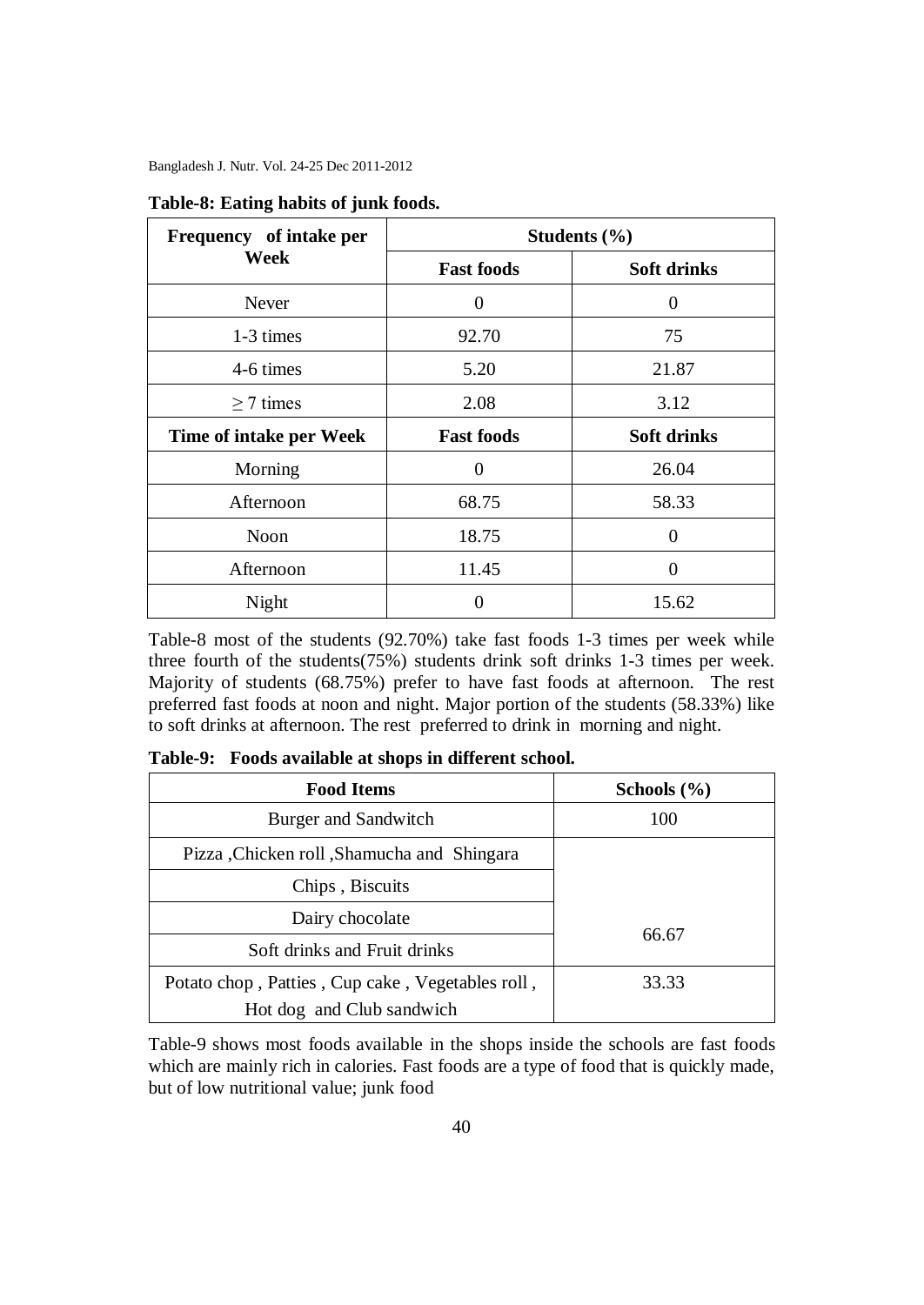| Frequency of intake per | Students (%)      |                    |  |
|-------------------------|-------------------|--------------------|--|
| Week                    | <b>Fast foods</b> | <b>Soft drinks</b> |  |
| Never                   | 0                 | $\Omega$           |  |
| 1-3 times               | 92.70             | 75                 |  |
| 4-6 times               | 5.20              | 21.87              |  |
| $\geq$ 7 times          | 2.08              | 3.12               |  |
| Time of intake per Week | <b>Fast foods</b> | <b>Soft drinks</b> |  |
| Morning                 | $\Omega$          | 26.04              |  |
| Afternoon               | 68.75             | 58.33              |  |
| <b>Noon</b>             | 18.75             | $\Omega$           |  |
| Afternoon               | 11.45             |                    |  |
| Night                   |                   | 15.62              |  |

#### **Table-8: Eating habits of junk foods.**

Table-8 most of the students (92.70%) take fast foods 1-3 times per week while three fourth of the students(75%) students drink soft drinks 1-3 times per week. Majority of students (68.75%) prefer to have fast foods at afternoon. The rest preferred fast foods at noon and night. Major portion of the students (58.33%) like to soft drinks at afternoon. The rest preferred to drink in morning and night.

| <b>Food Items</b>                                | Schools $(\% )$ |
|--------------------------------------------------|-----------------|
| Burger and Sandwitch                             | 100             |
| Pizza, Chicken roll, Shamucha and Shingara       |                 |
| Chips, Biscuits                                  |                 |
| Dairy chocolate                                  |                 |
| Soft drinks and Fruit drinks                     | 66.67           |
| Potato chop, Patties, Cup cake, Vegetables roll, | 33.33           |
| Hot dog and Club sandwich                        |                 |

**Table-9: Foods available at shops in different school.**

Table-9 shows most foods available in the shops inside the schools are fast foods which are mainly rich in calories. Fast foods are a type of food that is quickly made, but of low nutritional value; junk food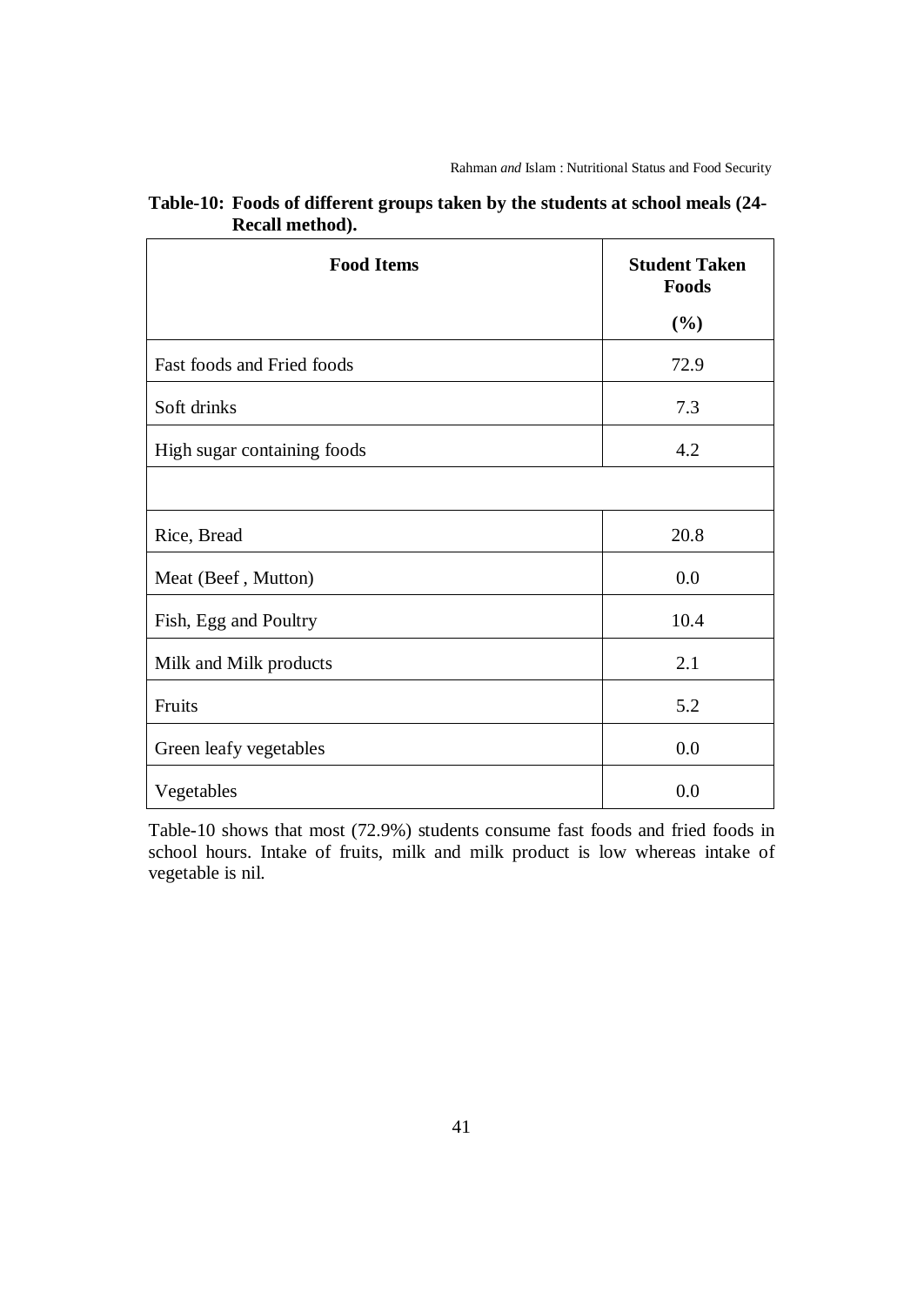| <b>Food Items</b>           | <b>Student Taken</b><br>Foods |
|-----------------------------|-------------------------------|
|                             | (%)                           |
| Fast foods and Fried foods  | 72.9                          |
| Soft drinks                 | 7.3                           |
| High sugar containing foods | 4.2                           |
|                             |                               |
| Rice, Bread                 | 20.8                          |
| Meat (Beef, Mutton)         | 0.0                           |
| Fish, Egg and Poultry       | 10.4                          |
| Milk and Milk products      | 2.1                           |
| Fruits                      | 5.2                           |
| Green leafy vegetables      | 0.0                           |
| Vegetables                  | 0.0                           |

| Table-10: Foods of different groups taken by the students at school meals (24- |  |
|--------------------------------------------------------------------------------|--|
| Recall method).                                                                |  |

Table-10 shows that most (72.9%) students consume fast foods and fried foods in school hours. Intake of fruits, milk and milk product is low whereas intake of vegetable is nil.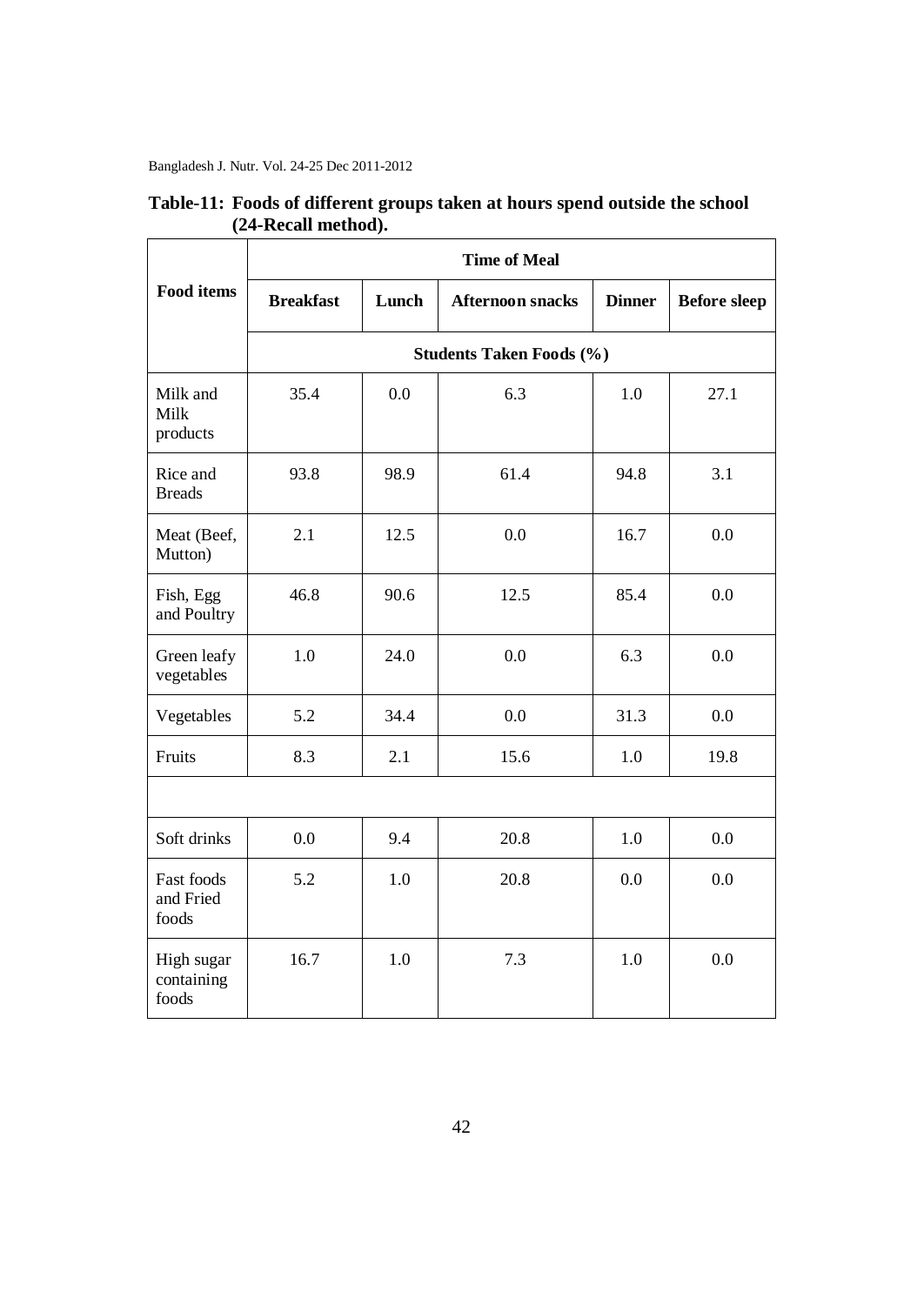|                                   | <b>Time of Meal</b> |       |                         |               |                     |  |
|-----------------------------------|---------------------|-------|-------------------------|---------------|---------------------|--|
| <b>Food items</b>                 | <b>Breakfast</b>    | Lunch | <b>Afternoon snacks</b> | <b>Dinner</b> | <b>Before sleep</b> |  |
| <b>Students Taken Foods (%)</b>   |                     |       |                         |               |                     |  |
| Milk and<br>Milk<br>products      | 35.4                | 0.0   | 6.3                     | 1.0           | 27.1                |  |
| Rice and<br><b>Breads</b>         | 93.8                | 98.9  | 61.4                    | 94.8          | 3.1                 |  |
| Meat (Beef,<br>Mutton)            | 2.1                 | 12.5  | 0.0                     | 16.7          | 0.0                 |  |
| Fish, Egg<br>and Poultry          | 46.8                | 90.6  | 12.5                    | 85.4          | 0.0                 |  |
| Green leafy<br>vegetables         | 1.0                 | 24.0  | 0.0                     | 6.3           | 0.0                 |  |
| Vegetables                        | 5.2                 | 34.4  | 0.0                     | 31.3          | 0.0                 |  |
| Fruits                            | 8.3                 | 2.1   | 15.6                    | 1.0           | 19.8                |  |
|                                   |                     |       |                         |               |                     |  |
| Soft drinks                       | 0.0                 | 9.4   | 20.8                    | 1.0           | 0.0                 |  |
| Fast foods<br>and Fried<br>foods  | 5.2                 | 1.0   | 20.8                    | 0.0           | 0.0                 |  |
| High sugar<br>containing<br>foods | 16.7                | 1.0   | 7.3                     | 1.0           | 0.0                 |  |

**Table-11: Foods of different groups taken at hours spend outside the school (24-Recall method).**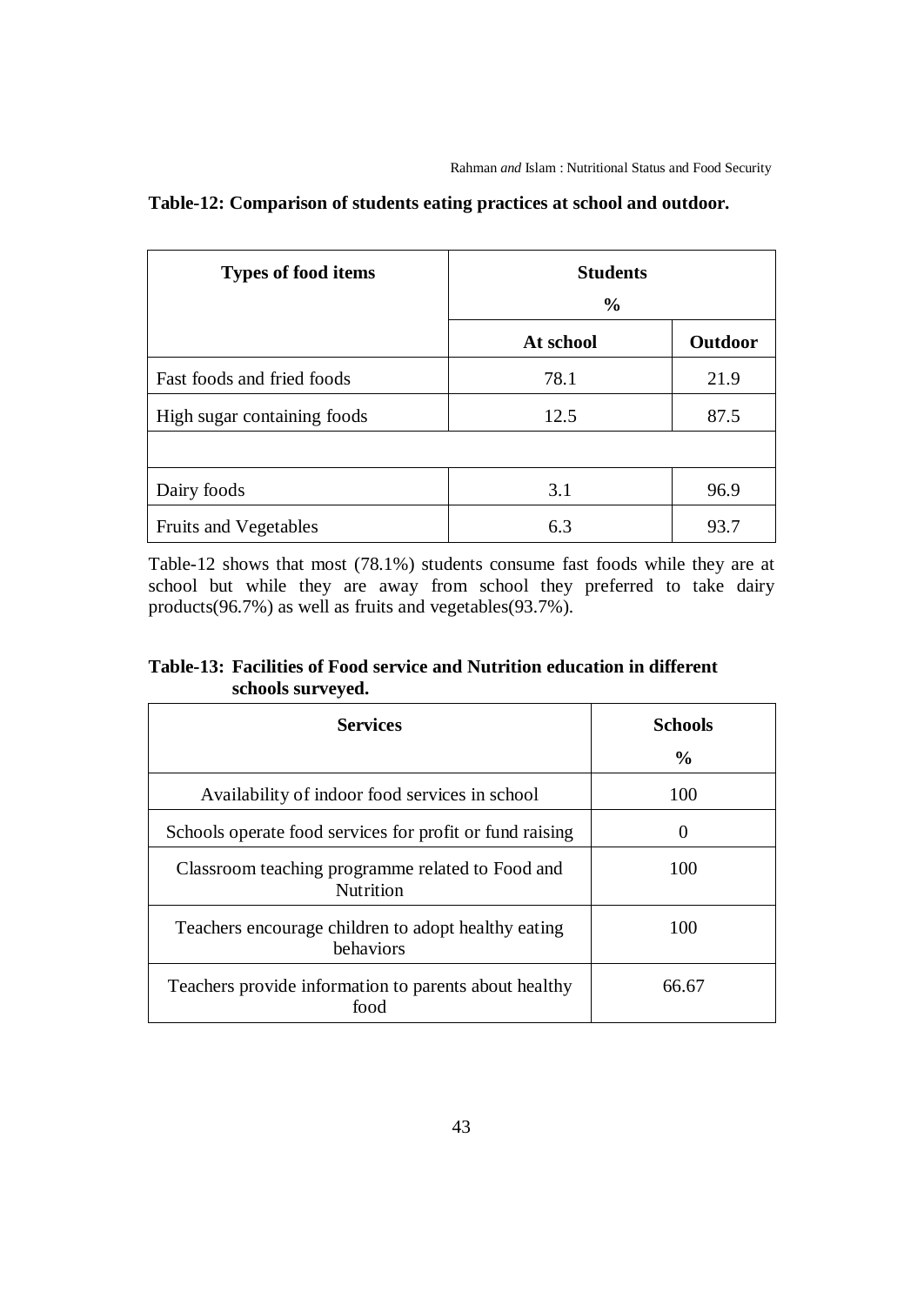| <b>Types of food items</b>  | <b>Students</b><br>$\frac{0}{0}$ |         |
|-----------------------------|----------------------------------|---------|
|                             | At school                        | Outdoor |
| Fast foods and fried foods  | 78.1                             | 21.9    |
| High sugar containing foods | 12.5                             | 87.5    |
|                             |                                  |         |
| Dairy foods                 | 3.1                              | 96.9    |
| Fruits and Vegetables       | 6.3                              | 93.7    |

# **Table-12: Comparison of students eating practices at school and outdoor.**

Table-12 shows that most (78.1%) students consume fast foods while they are at school but while they are away from school they preferred to take dairy products(96.7%) as well as fruits and vegetables(93.7%).

# **Table-13: Facilities of Food service and Nutrition education in different schools surveyed.**

| <b>Services</b>                                                      | <b>Schools</b> |  |
|----------------------------------------------------------------------|----------------|--|
|                                                                      | $\frac{0}{0}$  |  |
| Availability of indoor food services in school                       | 100            |  |
| Schools operate food services for profit or fund raising             | 0              |  |
| Classroom teaching programme related to Food and<br><b>Nutrition</b> | 100            |  |
| Teachers encourage children to adopt healthy eating<br>behaviors     | 100            |  |
| Teachers provide information to parents about healthy<br>food        | 66.67          |  |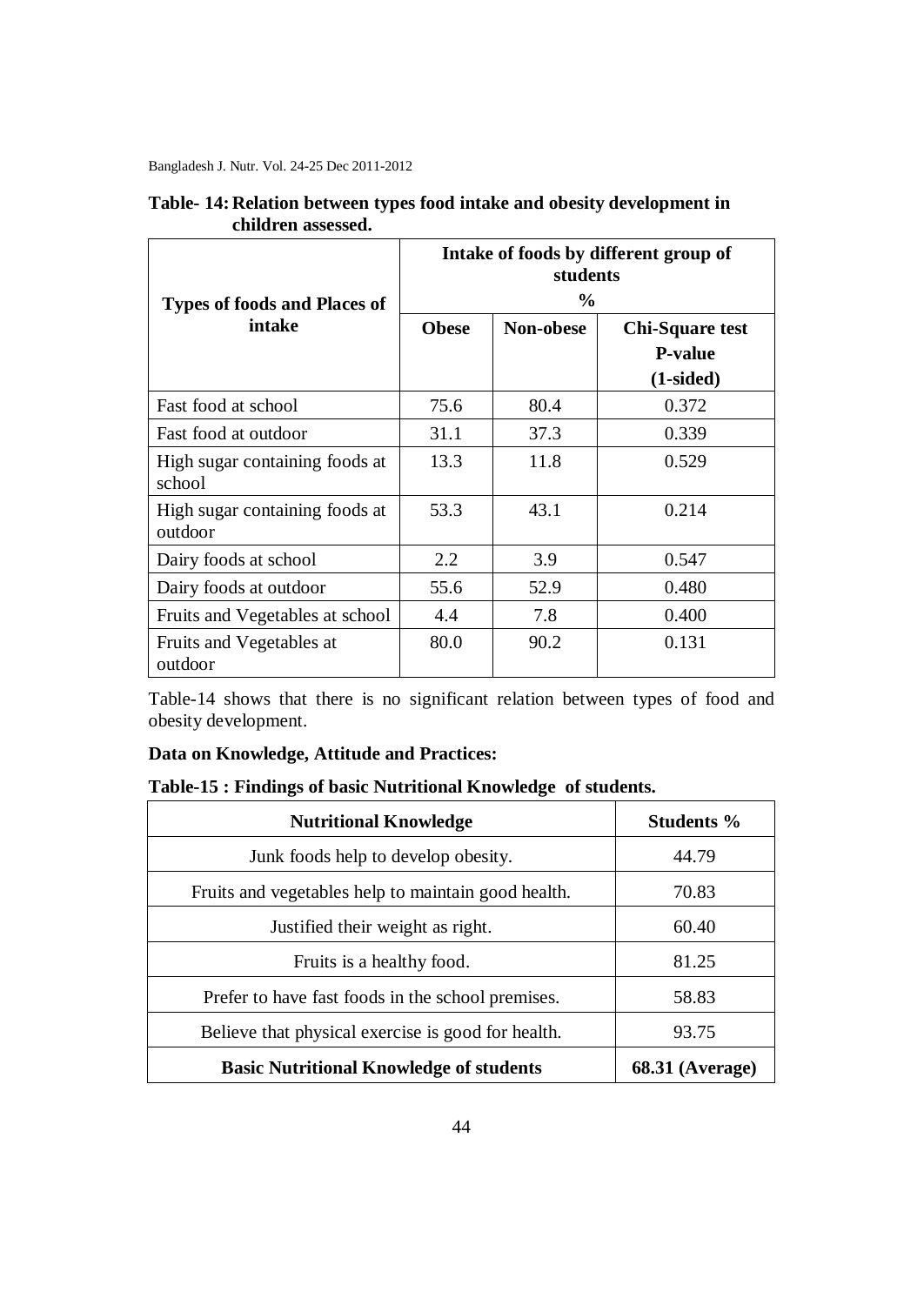| <b>Types of foods and Places of</b>       | Intake of foods by different group of<br>students<br>$\frac{0}{0}$ |           |                                                         |  |
|-------------------------------------------|--------------------------------------------------------------------|-----------|---------------------------------------------------------|--|
| intake                                    | <b>Obese</b>                                                       | Non-obese | <b>Chi-Square test</b><br><b>P-value</b><br>$(1-sided)$ |  |
| Fast food at school                       | 75.6                                                               | 80.4      | 0.372                                                   |  |
| Fast food at outdoor                      | 31.1                                                               | 37.3      | 0.339                                                   |  |
| High sugar containing foods at<br>school  | 13.3                                                               | 11.8      | 0.529                                                   |  |
| High sugar containing foods at<br>outdoor | 53.3                                                               | 43.1      | 0.214                                                   |  |
| Dairy foods at school                     | 2.2                                                                | 3.9       | 0.547                                                   |  |
| Dairy foods at outdoor                    | 55.6                                                               | 52.9      | 0.480                                                   |  |
| Fruits and Vegetables at school           | 4.4                                                                | 7.8       | 0.400                                                   |  |
| Fruits and Vegetables at<br>outdoor       | 80.0                                                               | 90.2      | 0.131                                                   |  |

## **Table- 14: Relation between types food intake and obesity development in children assessed.**

Table-14 shows that there is no significant relation between types of food and obesity development.

### **Data on Knowledge, Attitude and Practices:**

### **Table-15 : Findings of basic Nutritional Knowledge of students.**

| <b>Nutritional Knowledge</b>                        | Students %        |  |
|-----------------------------------------------------|-------------------|--|
| Junk foods help to develop obesity.                 | 44.79             |  |
| Fruits and vegetables help to maintain good health. | 70.83             |  |
| Justified their weight as right.                    | 60.40             |  |
| Fruits is a healthy food.                           | 81.25             |  |
| Prefer to have fast foods in the school premises.   | 58.83             |  |
| Believe that physical exercise is good for health.  | 93.75             |  |
| <b>Basic Nutritional Knowledge of students</b>      | $68.31$ (Average) |  |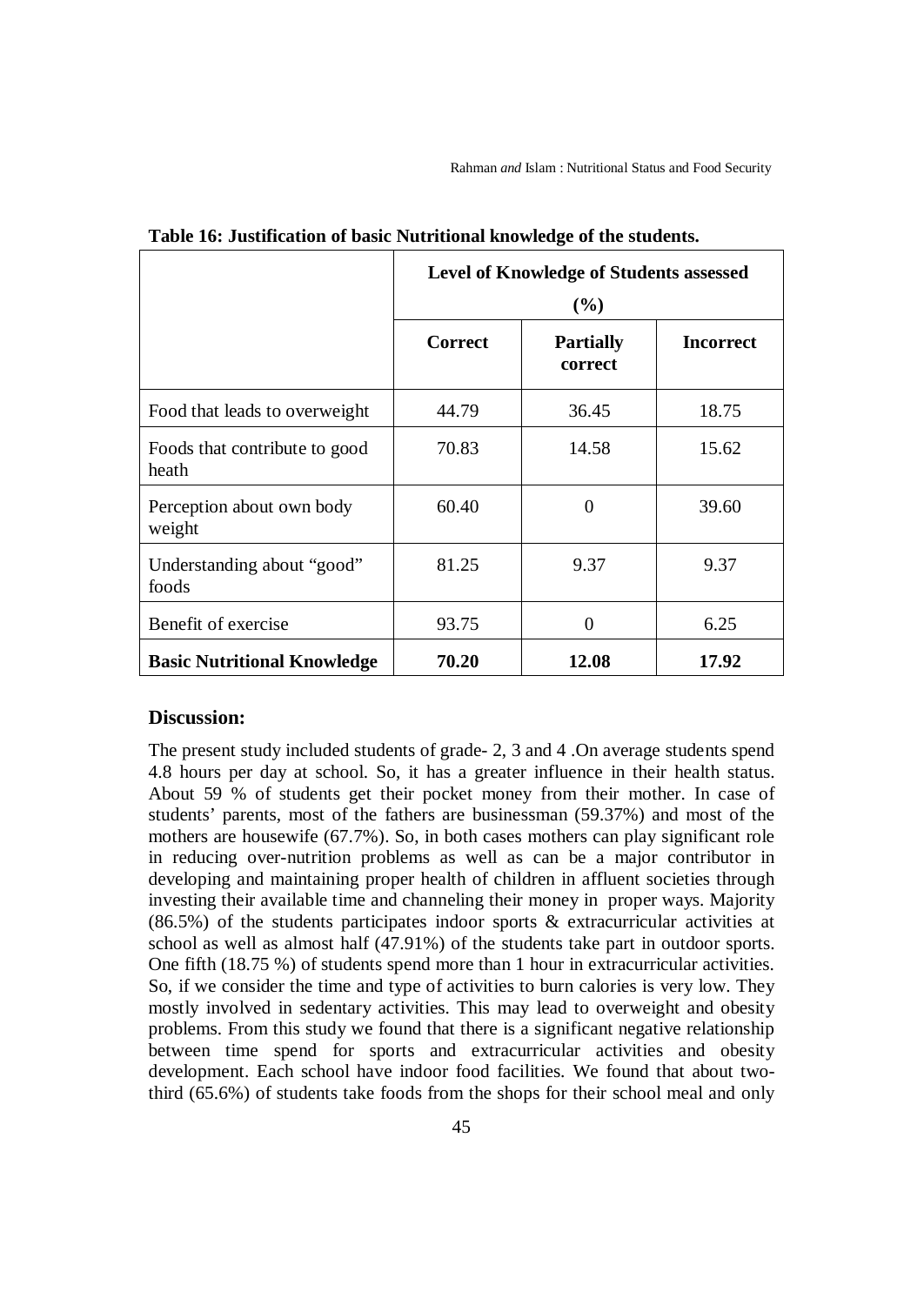|                                        | <b>Level of Knowledge of Students assessed</b> |                             |                  |
|----------------------------------------|------------------------------------------------|-----------------------------|------------------|
|                                        | (%)                                            |                             |                  |
|                                        | <b>Correct</b>                                 | <b>Partially</b><br>correct | <b>Incorrect</b> |
| Food that leads to overweight          | 44.79                                          | 36.45                       | 18.75            |
| Foods that contribute to good<br>heath | 70.83                                          | 14.58                       | 15.62            |
| Perception about own body<br>weight    | 60.40                                          | 0                           | 39.60            |
| Understanding about "good"<br>foods    | 81.25                                          | 9.37                        | 9.37             |
| Benefit of exercise                    | 93.75                                          | $\Omega$                    | 6.25             |
| <b>Basic Nutritional Knowledge</b>     | 70.20                                          | 12.08                       | 17.92            |

**Table 16: Justification of basic Nutritional knowledge of the students.**

#### **Discussion:**

The present study included students of grade- 2, 3 and 4 .On average students spend 4.8 hours per day at school. So, it has a greater influence in their health status. About 59 % of students get their pocket money from their mother. In case of students' parents, most of the fathers are businessman (59.37%) and most of the mothers are housewife (67.7%). So, in both cases mothers can play significant role in reducing over-nutrition problems as well as can be a major contributor in developing and maintaining proper health of children in affluent societies through investing their available time and channeling their money in proper ways. Majority (86.5%) of the students participates indoor sports & extracurricular activities at school as well as almost half (47.91%) of the students take part in outdoor sports. One fifth (18.75 %) of students spend more than 1 hour in extracurricular activities. So, if we consider the time and type of activities to burn calories is very low. They mostly involved in sedentary activities. This may lead to overweight and obesity problems. From this study we found that there is a significant negative relationship between time spend for sports and extracurricular activities and obesity development. Each school have indoor food facilities. We found that about twothird (65.6%) of students take foods from the shops for their school meal and only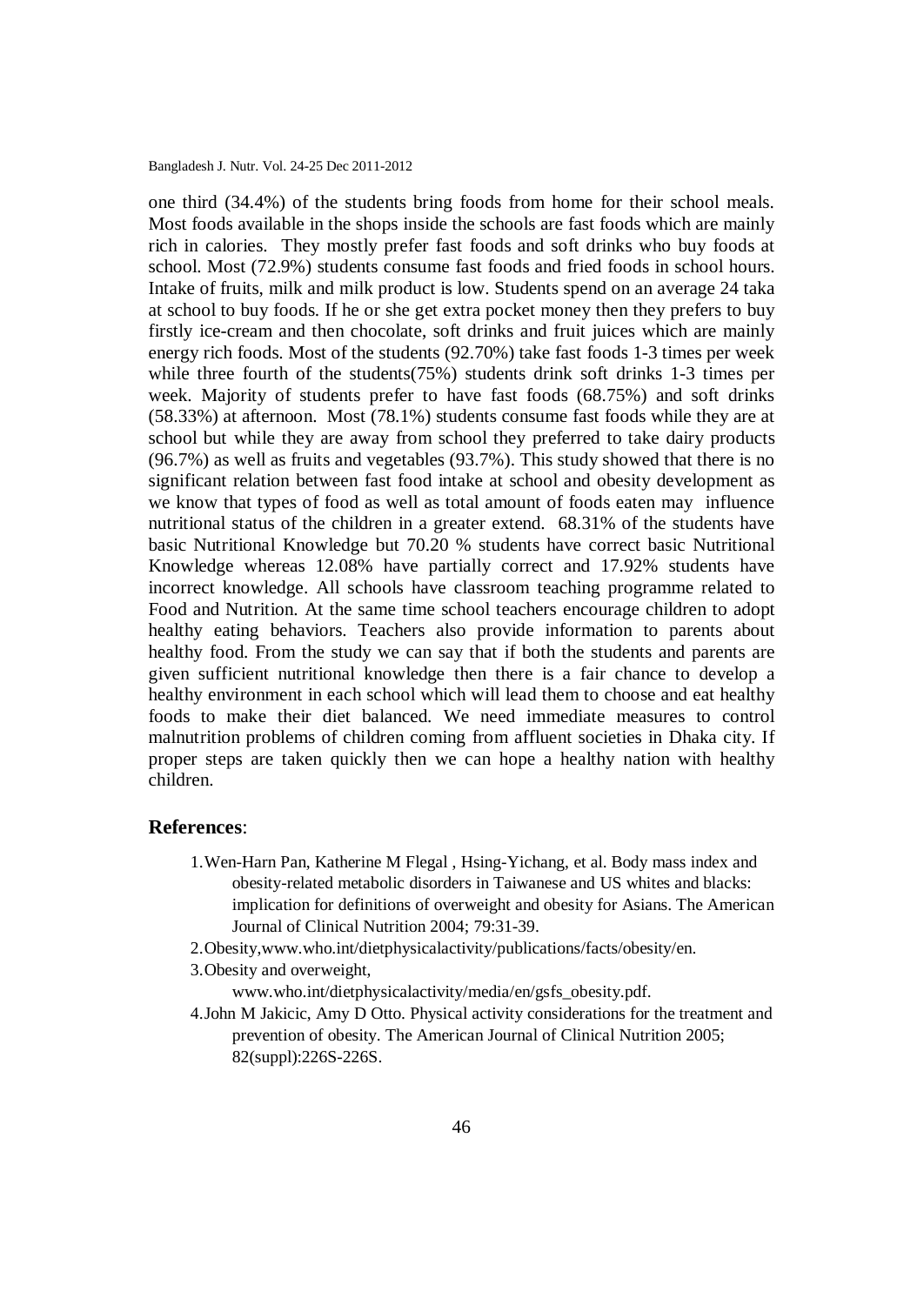one third (34.4%) of the students bring foods from home for their school meals. Most foods available in the shops inside the schools are fast foods which are mainly rich in calories. They mostly prefer fast foods and soft drinks who buy foods at school. Most (72.9%) students consume fast foods and fried foods in school hours. Intake of fruits, milk and milk product is low. Students spend on an average 24 taka at school to buy foods. If he or she get extra pocket money then they prefers to buy firstly ice-cream and then chocolate, soft drinks and fruit juices which are mainly energy rich foods. Most of the students (92.70%) take fast foods 1-3 times per week while three fourth of the students(75%) students drink soft drinks 1-3 times per week. Majority of students prefer to have fast foods (68.75%) and soft drinks (58.33%) at afternoon. Most (78.1%) students consume fast foods while they are at school but while they are away from school they preferred to take dairy products (96.7%) as well as fruits and vegetables (93.7%). This study showed that there is no significant relation between fast food intake at school and obesity development as we know that types of food as well as total amount of foods eaten may influence nutritional status of the children in a greater extend. 68.31% of the students have basic Nutritional Knowledge but 70.20 % students have correct basic Nutritional Knowledge whereas 12.08% have partially correct and 17.92% students have incorrect knowledge. All schools have classroom teaching programme related to Food and Nutrition. At the same time school teachers encourage children to adopt healthy eating behaviors. Teachers also provide information to parents about healthy food. From the study we can say that if both the students and parents are given sufficient nutritional knowledge then there is a fair chance to develop a healthy environment in each school which will lead them to choose and eat healthy foods to make their diet balanced. We need immediate measures to control malnutrition problems of children coming from affluent societies in Dhaka city. If proper steps are taken quickly then we can hope a healthy nation with healthy children.

#### **References**:

- 1.Wen-Harn Pan, Katherine M Flegal , Hsing-Yichang, et al. Body mass index and obesity-related metabolic disorders in Taiwanese and US whites and blacks: implication for definitions of overweight and obesity for Asians. The American Journal of Clinical Nutrition 2004; 79:31-39.
- 2.Obesity,www.who.int/dietphysicalactivity/publications/facts/obesity/en.
- 3.Obesity and overweight,

[www.who.int/dietphysicalactivity/media/en/gsfs\\_obesity.pdf.](http://www.who.int/dietphysicalactivity/media/en/gsfs_obesity.pdf)

4.John M Jakicic, Amy D Otto. Physical activity considerations for the treatment and prevention of obesity. The American Journal of Clinical Nutrition 2005; 82(suppl):226S-226S.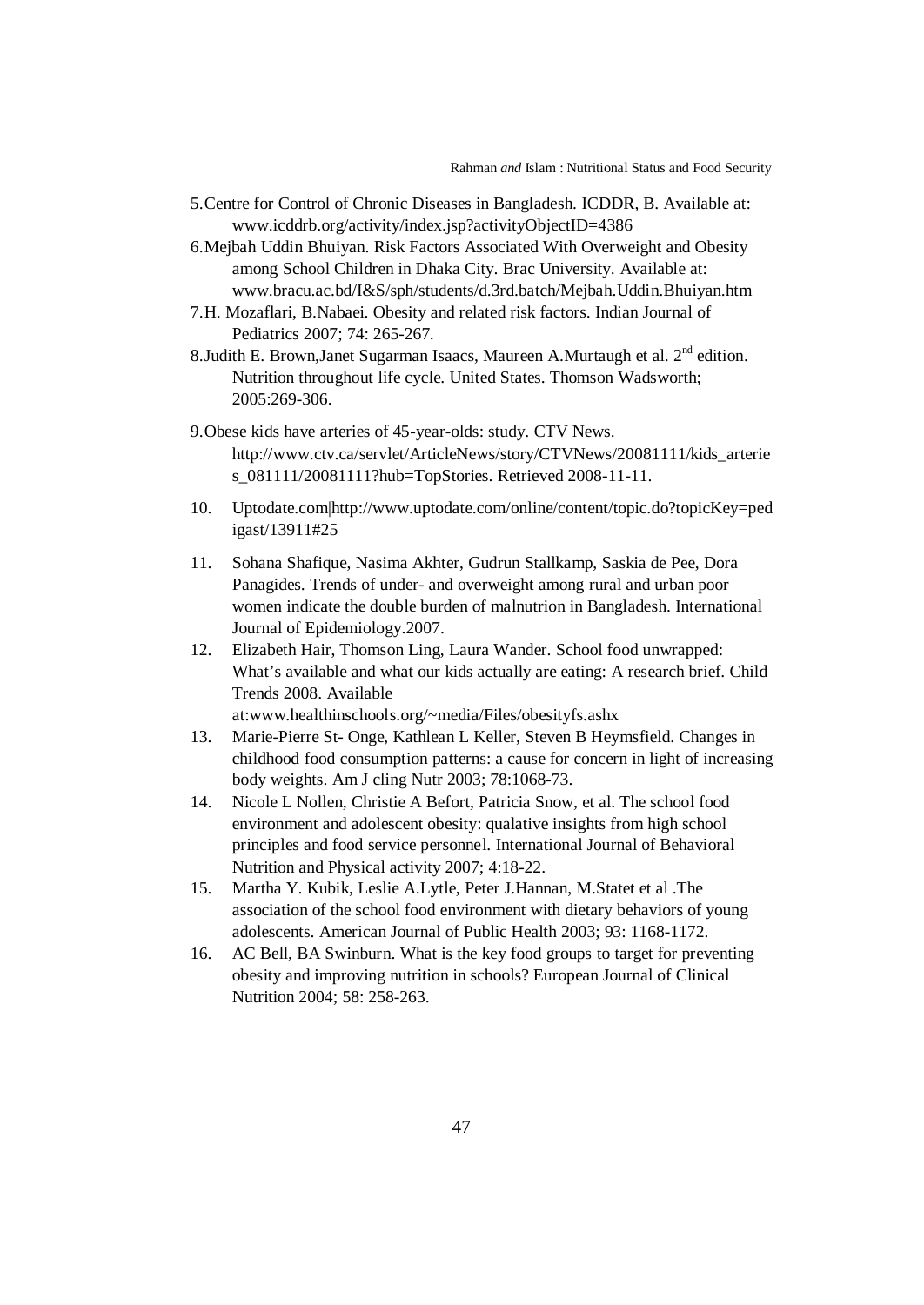Rahman *and* Islam : Nutritional Status and Food Security

- 5.Centre for Control of Chronic Diseases in Bangladesh. ICDDR, B. Available at: [www.icddrb.org/activity/index.jsp?activityObjectID=4386](http://www.icddrb.org/activity/index.jsp?activityObjectID=4386)
- 6.Mejbah Uddin Bhuiyan. Risk Factors Associated With Overweight and Obesity among School Children in Dhaka City. Brac University. Available at: [www.bracu.ac.bd/I&S/sph/students/d.3rd.batch/Mejbah.Uddin.Bhuiyan.htm](http://www.bracu.ac.bd/I&S/sph/students/d.3rd.batch/Mejbah.Uddin.Bhuiyan.htm)
- 7.H. Mozaflari, B.Nabaei. Obesity and related risk factors. Indian Journal of Pediatrics 2007; 74: 265-267.
- 8. Judith E. Brown, Janet Sugarman Isaacs, Maureen A. Murtaugh et al.  $2<sup>nd</sup>$  edition. Nutrition throughout life cycle. United States. Thomson Wadsworth; 2005:269-306.
- 9[.Obese kids have arteries of 45-year-olds: study.](http://www.ctv.ca/servlet/ArticleNews/story/CTVNews/20081111/kids_arteries_081111/20081111?hub=TopStories) [CTV News.](http://en.wikipedia.org/wiki/CTV_News) [http://www.ctv.ca/servlet/ArticleNews/story/CTVNews/20081111/kids\\_arterie](http://www.ctv.ca/servlet/ArticleNews/story/CTVNews/20081111/kids_arteries_081111/20081111?hub=TopStories) [s\\_081111/20081111?hub=TopStories.](http://www.ctv.ca/servlet/ArticleNews/story/CTVNews/20081111/kids_arteries_081111/20081111?hub=TopStories) Retrieved 2008-11-11.
- 10. Uptodate.com[|http://www.uptodate.com/online/content/topic.do?topicKey=ped](http://www.uptodate.com/online/content/topic.do?topicKey=pedigast/13911#25) [igast/13911#25](http://www.uptodate.com/online/content/topic.do?topicKey=pedigast/13911#25)
- 11. Sohana Shafique, Nasima Akhter, Gudrun Stallkamp, Saskia de Pee, Dora Panagides. Trends of under- and overweight among rural and urban poor women indicate the double burden of malnutrion in Bangladesh. International Journal of Epidemiology.2007.
- 12. Elizabeth Hair, Thomson Ling, Laura Wander. School food unwrapped: What's available and what our kids actually are eating: A research brief. Child Trends 2008. Available at:www.healthinschools.org/~media/Files/obesityfs.ashx
- 13. Marie-Pierre St- Onge, Kathlean L Keller, Steven B Heymsfield. Changes in childhood food consumption patterns: a cause for concern in light of increasing body weights. Am J cling Nutr 2003; 78:1068-73.
- 14. Nicole L Nollen, Christie A Befort, Patricia Snow, et al. The school food environment and adolescent obesity: qualative insights from high school principles and food service personnel. International Journal of Behavioral Nutrition and Physical activity 2007; 4:18-22.
- 15. Martha Y. Kubik, Leslie A.Lytle, Peter J.Hannan, M.Statet et al .The association of the school food environment with dietary behaviors of young adolescents. American Journal of Public Health 2003; 93: 1168-1172.
- 16. AC Bell, BA Swinburn. What is the key food groups to target for preventing obesity and improving nutrition in schools? European Journal of Clinical Nutrition 2004; 58: 258-263.